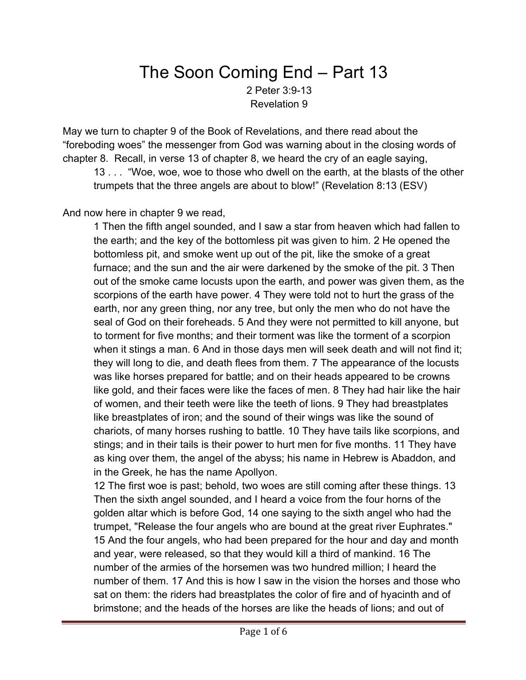## The Soon Coming End – Part 13 2 Peter 3:9-13 Revelation 9

May we turn to chapter 9 of the Book of Revelations, and there read about the "foreboding woes" the messenger from God was warning about in the closing words of chapter 8. Recall, in verse 13 of chapter 8, we heard the cry of an eagle saying,

13 . . . "Woe, woe, woe to those who dwell on the earth, at the blasts of the other trumpets that the three angels are about to blow!" (Revelation 8:13 (ESV)

And now here in chapter 9 we read,

1 Then the fifth angel sounded, and I saw a star from heaven which had fallen to the earth; and the key of the bottomless pit was given to him. 2 He opened the bottomless pit, and smoke went up out of the pit, like the smoke of a great furnace; and the sun and the air were darkened by the smoke of the pit. 3 Then out of the smoke came locusts upon the earth, and power was given them, as the scorpions of the earth have power. 4 They were told not to hurt the grass of the earth, nor any green thing, nor any tree, but only the men who do not have the seal of God on their foreheads. 5 And they were not permitted to kill anyone, but to torment for five months; and their torment was like the torment of a scorpion when it stings a man. 6 And in those days men will seek death and will not find it; they will long to die, and death flees from them. 7 The appearance of the locusts was like horses prepared for battle; and on their heads appeared to be crowns like gold, and their faces were like the faces of men. 8 They had hair like the hair of women, and their teeth were like the teeth of lions. 9 They had breastplates like breastplates of iron; and the sound of their wings was like the sound of chariots, of many horses rushing to battle. 10 They have tails like scorpions, and stings; and in their tails is their power to hurt men for five months. 11 They have as king over them, the angel of the abyss; his name in Hebrew is Abaddon, and in the Greek, he has the name Apollyon.

12 The first woe is past; behold, two woes are still coming after these things. 13 Then the sixth angel sounded, and I heard a voice from the four horns of the golden altar which is before God, 14 one saying to the sixth angel who had the trumpet, "Release the four angels who are bound at the great river Euphrates." 15 And the four angels, who had been prepared for the hour and day and month and year, were released, so that they would kill a third of mankind. 16 The number of the armies of the horsemen was two hundred million; I heard the number of them. 17 And this is how I saw in the vision the horses and those who sat on them: the riders had breastplates the color of fire and of hyacinth and of brimstone; and the heads of the horses are like the heads of lions; and out of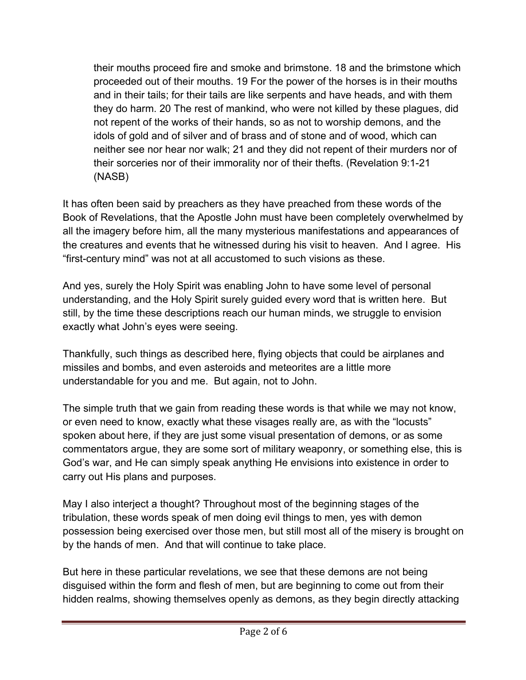their mouths proceed fire and smoke and brimstone. 18 and the brimstone which proceeded out of their mouths. 19 For the power of the horses is in their mouths and in their tails; for their tails are like serpents and have heads, and with them they do harm. 20 The rest of mankind, who were not killed by these plagues, did not repent of the works of their hands, so as not to worship demons, and the idols of gold and of silver and of brass and of stone and of wood, which can neither see nor hear nor walk; 21 and they did not repent of their murders nor of their sorceries nor of their immorality nor of their thefts. (Revelation 9:1-21 (NASB)

It has often been said by preachers as they have preached from these words of the Book of Revelations, that the Apostle John must have been completely overwhelmed by all the imagery before him, all the many mysterious manifestations and appearances of the creatures and events that he witnessed during his visit to heaven. And I agree. His "first-century mind" was not at all accustomed to such visions as these.

And yes, surely the Holy Spirit was enabling John to have some level of personal understanding, and the Holy Spirit surely guided every word that is written here. But still, by the time these descriptions reach our human minds, we struggle to envision exactly what John's eyes were seeing.

Thankfully, such things as described here, flying objects that could be airplanes and missiles and bombs, and even asteroids and meteorites are a little more understandable for you and me. But again, not to John.

The simple truth that we gain from reading these words is that while we may not know, or even need to know, exactly what these visages really are, as with the "locusts" spoken about here, if they are just some visual presentation of demons, or as some commentators argue, they are some sort of military weaponry, or something else, this is God's war, and He can simply speak anything He envisions into existence in order to carry out His plans and purposes.

May I also interject a thought? Throughout most of the beginning stages of the tribulation, these words speak of men doing evil things to men, yes with demon possession being exercised over those men, but still most all of the misery is brought on by the hands of men. And that will continue to take place.

But here in these particular revelations, we see that these demons are not being disguised within the form and flesh of men, but are beginning to come out from their hidden realms, showing themselves openly as demons, as they begin directly attacking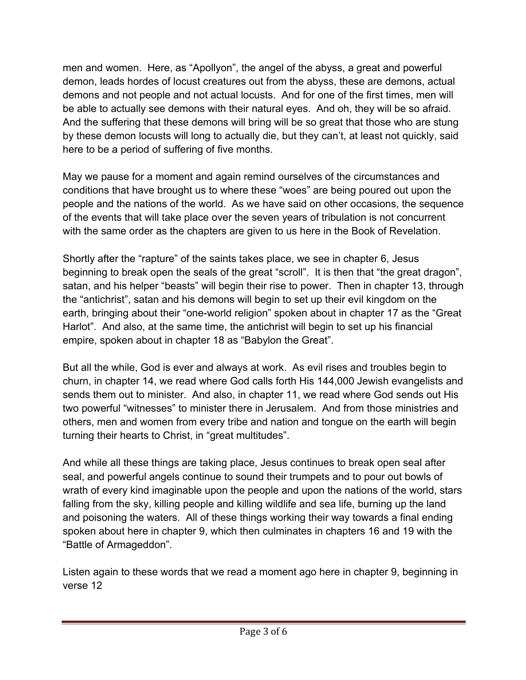men and women. Here, as "Apollyon", the angel of the abyss, a great and powerful demon, leads hordes of locust creatures out from the abyss, these are demons, actual demons and not people and not actual locusts. And for one of the first times, men will be able to actually see demons with their natural eyes. And oh, they will be so afraid. And the suffering that these demons will bring will be so great that those who are stung by these demon locusts will long to actually die, but they can't, at least not quickly, said here to be a period of suffering of five months.

May we pause for a moment and again remind ourselves of the circumstances and conditions that have brought us to where these "woes" are being poured out upon the people and the nations of the world. As we have said on other occasions, the sequence of the events that will take place over the seven years of tribulation is not concurrent with the same order as the chapters are given to us here in the Book of Revelation.

Shortly after the "rapture" of the saints takes place, we see in chapter 6, Jesus beginning to break open the seals of the great "scroll". It is then that "the great dragon", satan, and his helper "beasts" will begin their rise to power. Then in chapter 13, through the "antichrist", satan and his demons will begin to set up their evil kingdom on the earth, bringing about their "one-world religion" spoken about in chapter 17 as the "Great Harlot". And also, at the same time, the antichrist will begin to set up his financial empire, spoken about in chapter 18 as "Babylon the Great".

But all the while, God is ever and always at work. As evil rises and troubles begin to churn, in chapter 14, we read where God calls forth His 144,000 Jewish evangelists and sends them out to minister. And also, in chapter 11, we read where God sends out His two powerful "witnesses" to minister there in Jerusalem. And from those ministries and others, men and women from every tribe and nation and tongue on the earth will begin turning their hearts to Christ, in "great multitudes".

And while all these things are taking place, Jesus continues to break open seal after seal, and powerful angels continue to sound their trumpets and to pour out bowls of wrath of every kind imaginable upon the people and upon the nations of the world, stars falling from the sky, killing people and killing wildlife and sea life, burning up the land and poisoning the waters. All of these things working their way towards a final ending spoken about here in chapter 9, which then culminates in chapters 16 and 19 with the "Battle of Armageddon".

Listen again to these words that we read a moment ago here in chapter 9, beginning in verse 12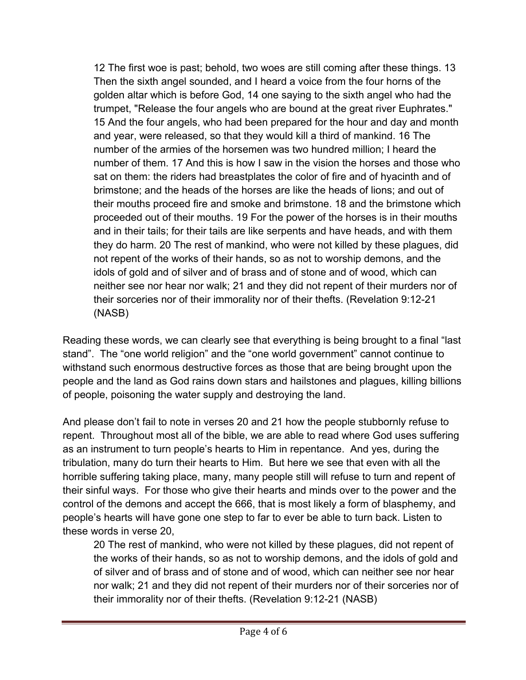12 The first woe is past; behold, two woes are still coming after these things. 13 Then the sixth angel sounded, and I heard a voice from the four horns of the golden altar which is before God, 14 one saying to the sixth angel who had the trumpet, "Release the four angels who are bound at the great river Euphrates." 15 And the four angels, who had been prepared for the hour and day and month and year, were released, so that they would kill a third of mankind. 16 The number of the armies of the horsemen was two hundred million; I heard the number of them. 17 And this is how I saw in the vision the horses and those who sat on them: the riders had breastplates the color of fire and of hyacinth and of brimstone; and the heads of the horses are like the heads of lions; and out of their mouths proceed fire and smoke and brimstone. 18 and the brimstone which proceeded out of their mouths. 19 For the power of the horses is in their mouths and in their tails; for their tails are like serpents and have heads, and with them they do harm. 20 The rest of mankind, who were not killed by these plagues, did not repent of the works of their hands, so as not to worship demons, and the idols of gold and of silver and of brass and of stone and of wood, which can neither see nor hear nor walk; 21 and they did not repent of their murders nor of their sorceries nor of their immorality nor of their thefts. (Revelation 9:12-21 (NASB)

Reading these words, we can clearly see that everything is being brought to a final "last stand". The "one world religion" and the "one world government" cannot continue to withstand such enormous destructive forces as those that are being brought upon the people and the land as God rains down stars and hailstones and plagues, killing billions of people, poisoning the water supply and destroying the land.

And please don't fail to note in verses 20 and 21 how the people stubbornly refuse to repent. Throughout most all of the bible, we are able to read where God uses suffering as an instrument to turn people's hearts to Him in repentance. And yes, during the tribulation, many do turn their hearts to Him. But here we see that even with all the horrible suffering taking place, many, many people still will refuse to turn and repent of their sinful ways. For those who give their hearts and minds over to the power and the control of the demons and accept the 666, that is most likely a form of blasphemy, and people's hearts will have gone one step to far to ever be able to turn back. Listen to these words in verse 20,

20 The rest of mankind, who were not killed by these plagues, did not repent of the works of their hands, so as not to worship demons, and the idols of gold and of silver and of brass and of stone and of wood, which can neither see nor hear nor walk; 21 and they did not repent of their murders nor of their sorceries nor of their immorality nor of their thefts. (Revelation 9:12-21 (NASB)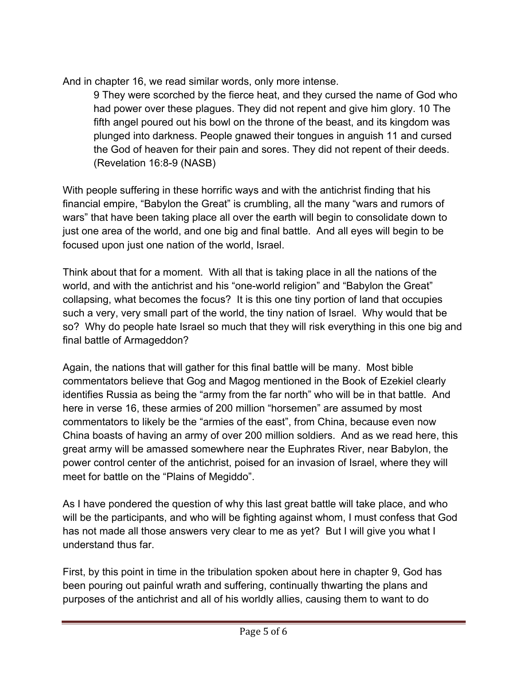And in chapter 16, we read similar words, only more intense.

9 They were scorched by the fierce heat, and they cursed the name of God who had power over these plagues. They did not repent and give him glory. 10 The fifth angel poured out his bowl on the throne of the beast, and its kingdom was plunged into darkness. People gnawed their tongues in anguish 11 and cursed the God of heaven for their pain and sores. They did not repent of their deeds. (Revelation 16:8-9 (NASB)

With people suffering in these horrific ways and with the antichrist finding that his financial empire, "Babylon the Great" is crumbling, all the many "wars and rumors of wars" that have been taking place all over the earth will begin to consolidate down to just one area of the world, and one big and final battle. And all eyes will begin to be focused upon just one nation of the world, Israel.

Think about that for a moment. With all that is taking place in all the nations of the world, and with the antichrist and his "one-world religion" and "Babylon the Great" collapsing, what becomes the focus? It is this one tiny portion of land that occupies such a very, very small part of the world, the tiny nation of Israel. Why would that be so? Why do people hate Israel so much that they will risk everything in this one big and final battle of Armageddon?

Again, the nations that will gather for this final battle will be many. Most bible commentators believe that Gog and Magog mentioned in the Book of Ezekiel clearly identifies Russia as being the "army from the far north" who will be in that battle. And here in verse 16, these armies of 200 million "horsemen" are assumed by most commentators to likely be the "armies of the east", from China, because even now China boasts of having an army of over 200 million soldiers. And as we read here, this great army will be amassed somewhere near the Euphrates River, near Babylon, the power control center of the antichrist, poised for an invasion of Israel, where they will meet for battle on the "Plains of Megiddo".

As I have pondered the question of why this last great battle will take place, and who will be the participants, and who will be fighting against whom, I must confess that God has not made all those answers very clear to me as yet? But I will give you what I understand thus far.

First, by this point in time in the tribulation spoken about here in chapter 9, God has been pouring out painful wrath and suffering, continually thwarting the plans and purposes of the antichrist and all of his worldly allies, causing them to want to do